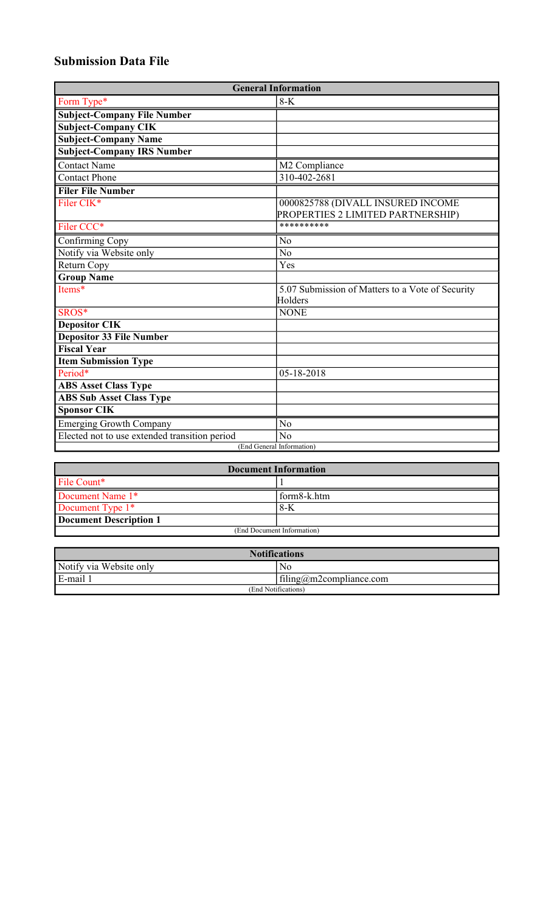## **Submission Data File**

| <b>General Information</b>                    |                                                  |  |  |
|-----------------------------------------------|--------------------------------------------------|--|--|
| Form Type*                                    | $8-K$                                            |  |  |
| <b>Subject-Company File Number</b>            |                                                  |  |  |
| <b>Subject-Company CIK</b>                    |                                                  |  |  |
| <b>Subject-Company Name</b>                   |                                                  |  |  |
| <b>Subject-Company IRS Number</b>             |                                                  |  |  |
| <b>Contact Name</b>                           | M2 Compliance                                    |  |  |
| <b>Contact Phone</b>                          | 310-402-2681                                     |  |  |
| <b>Filer File Number</b>                      |                                                  |  |  |
| Filer CIK*                                    | 0000825788 (DIVALL INSURED INCOME                |  |  |
|                                               | PROPERTIES 2 LIMITED PARTNERSHIP)                |  |  |
| Filer CCC*                                    | **********                                       |  |  |
| Confirming Copy                               | No                                               |  |  |
| Notify via Website only                       | $\overline{No}$                                  |  |  |
| Return Copy                                   | Yes                                              |  |  |
| <b>Group Name</b>                             |                                                  |  |  |
| Items*                                        | 5.07 Submission of Matters to a Vote of Security |  |  |
|                                               | Holders                                          |  |  |
| SROS*                                         | <b>NONE</b>                                      |  |  |
| <b>Depositor CIK</b>                          |                                                  |  |  |
| Depositor 33 File Number                      |                                                  |  |  |
| <b>Fiscal Year</b>                            |                                                  |  |  |
| <b>Item Submission Type</b>                   |                                                  |  |  |
| Period*                                       | 05-18-2018                                       |  |  |
| <b>ABS Asset Class Type</b>                   |                                                  |  |  |
| <b>ABS Sub Asset Class Type</b>               |                                                  |  |  |
| <b>Sponsor CIK</b>                            |                                                  |  |  |
| <b>Emerging Growth Company</b>                | No                                               |  |  |
| Elected not to use extended transition period | N <sub>o</sub>                                   |  |  |
| (End General Information)                     |                                                  |  |  |

| <b>Document Information</b> |             |  |
|-----------------------------|-------------|--|
| File Count*                 |             |  |
| Document Name 1*            | form8-k.htm |  |
| Document Type 1*            | 8-K         |  |
| Document Description 1      |             |  |
| (End Document Information)  |             |  |

| <b>Notifications</b>    |                         |  |
|-------------------------|-------------------------|--|
| Notify via Website only | No                      |  |
| E-mail 1                | filing@m2compliance.com |  |
| (End Notifications)     |                         |  |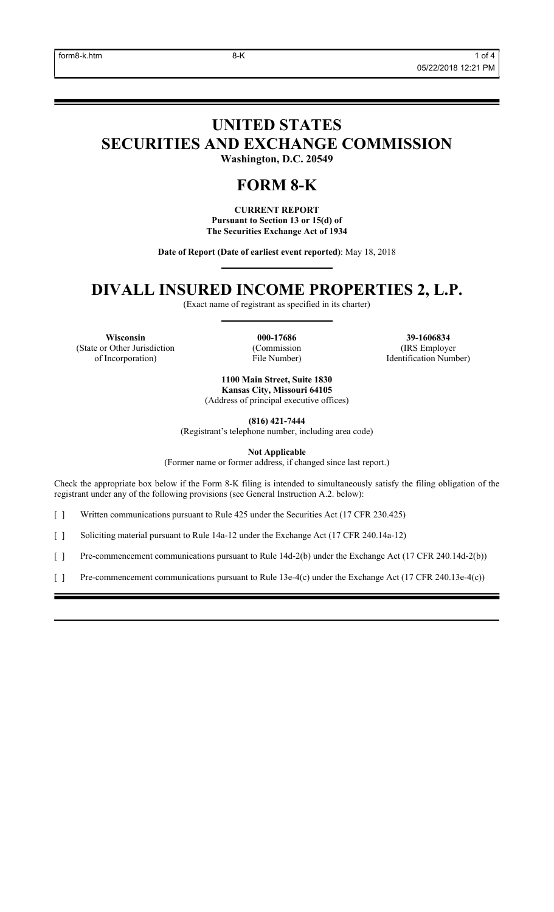# **UNITED STATES SECURITIES AND EXCHANGE COMMISSION**

**Washington, D.C. 20549**

### **FORM 8-K**

**CURRENT REPORT Pursuant to Section 13 or 15(d) of The Securities Exchange Act of 1934**

**Date of Report (Date of earliest event reported)**: May 18, 2018

### **DIVALL INSURED INCOME PROPERTIES 2, L.P.**

(Exact name of registrant as specified in its charter)

**Wisconsin 000-17686 39-1606834** (State or Other Jurisdiction of Incorporation)

(Commission File Number)

(IRS Employer Identification Number)

**1100 Main Street, Suite 1830 Kansas City, Missouri 64105** (Address of principal executive offices)

**(816) 421-7444**

(Registrant's telephone number, including area code)

**Not Applicable** (Former name or former address, if changed since last report.)

Check the appropriate box below if the Form 8-K filing is intended to simultaneously satisfy the filing obligation of the registrant under any of the following provisions (see General Instruction A.2. below):

[ ] Written communications pursuant to Rule 425 under the Securities Act (17 CFR 230.425)

[ ] Soliciting material pursuant to Rule 14a-12 under the Exchange Act (17 CFR 240.14a-12)

[ ] Pre-commencement communications pursuant to Rule 14d-2(b) under the Exchange Act (17 CFR 240.14d-2(b))

[ ] Pre-commencement communications pursuant to Rule 13e-4(c) under the Exchange Act (17 CFR 240.13e-4(c))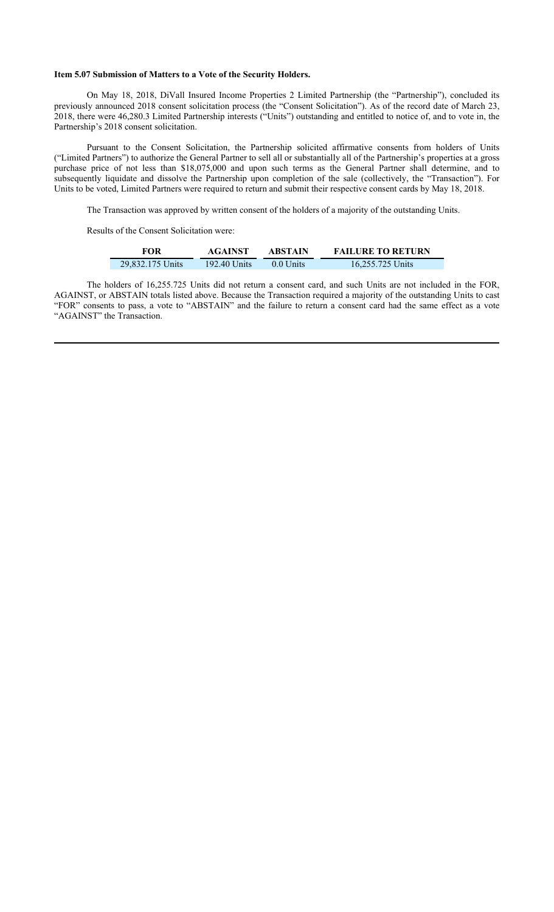#### **Item 5.07 Submission of Matters to a Vote of the Security Holders.**

On May 18, 2018, DiVall Insured Income Properties 2 Limited Partnership (the "Partnership"), concluded its previously announced 2018 consent solicitation process (the "Consent Solicitation"). As of the record date of March 23, 2018, there were 46,280.3 Limited Partnership interests ("Units") outstanding and entitled to notice of, and to vote in, the Partnership's 2018 consent solicitation.

Pursuant to the Consent Solicitation, the Partnership solicited affirmative consents from holders of Units ("Limited Partners") to authorize the General Partner to sell all or substantially all of the Partnership's properties at a gross purchase price of not less than \$18,075,000 and upon such terms as the General Partner shall determine, and to subsequently liquidate and dissolve the Partnership upon completion of the sale (collectively, the "Transaction"). For Units to be voted, Limited Partners were required to return and submit their respective consent cards by May 18, 2018.

The Transaction was approved by written consent of the holders of a majority of the outstanding Units.

Results of the Consent Solicitation were:

| FOR              | <b>AGAINST</b> | <b>ABSTAIN</b> | <b>FAILURE TO RETURN</b> |
|------------------|----------------|----------------|--------------------------|
| 29,832.175 Units | 192.40 Units   | 0.0 Units      | 16,255.725 Units         |

The holders of 16,255.725 Units did not return a consent card, and such Units are not included in the FOR, AGAINST, or ABSTAIN totals listed above. Because the Transaction required a majority of the outstanding Units to cast "FOR" consents to pass, a vote to "ABSTAIN" and the failure to return a consent card had the same effect as a vote "AGAINST" the Transaction.